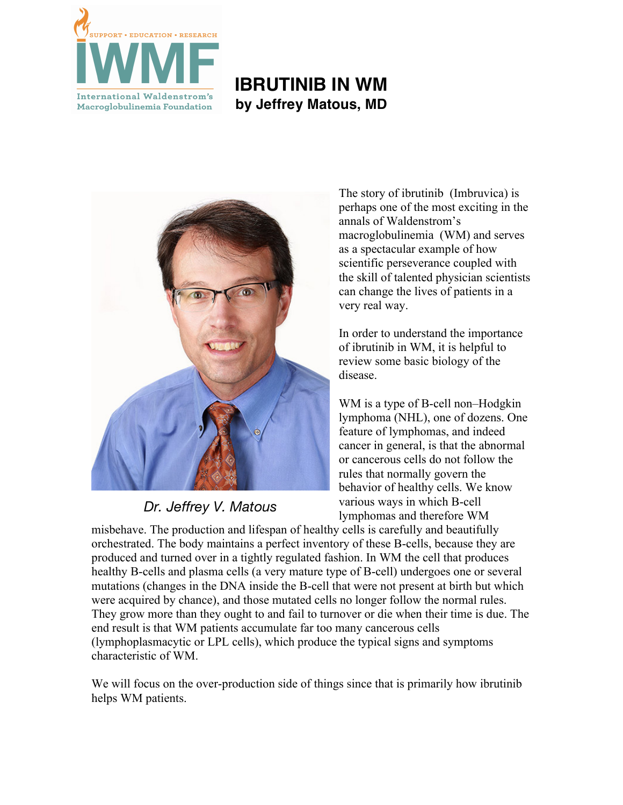

# **IBRUTINIB IN WM by Jeffrey Matous, MD**



*Dr. Jeffrey V. Matous*

The story of ibrutinib (Imbruvica) is perhaps one of the most exciting in the annals of Waldenstrom's macroglobulinemia (WM) and serves as a spectacular example of how scientific perseverance coupled with the skill of talented physician scientists can change the lives of patients in a very real way.

In order to understand the importance of ibrutinib in WM, it is helpful to review some basic biology of the disease.

WM is a type of B-cell non–Hodgkin lymphoma (NHL), one of dozens. One feature of lymphomas, and indeed cancer in general, is that the abnormal or cancerous cells do not follow the rules that normally govern the behavior of healthy cells. We know various ways in which B-cell lymphomas and therefore WM

misbehave. The production and lifespan of healthy cells is carefully and beautifully orchestrated. The body maintains a perfect inventory of these B-cells, because they are produced and turned over in a tightly regulated fashion. In WM the cell that produces healthy B-cells and plasma cells (a very mature type of B-cell) undergoes one or several mutations (changes in the DNA inside the B-cell that were not present at birth but which were acquired by chance), and those mutated cells no longer follow the normal rules. They grow more than they ought to and fail to turnover or die when their time is due. The end result is that WM patients accumulate far too many cancerous cells (lymphoplasmacytic or LPL cells), which produce the typical signs and symptoms characteristic of WM.

We will focus on the over-production side of things since that is primarily how ibrutinib helps WM patients.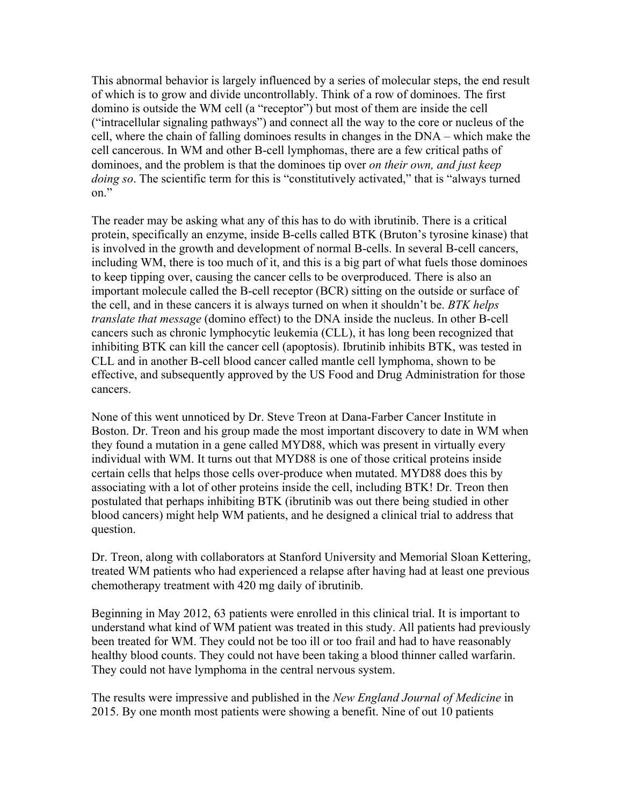This abnormal behavior is largely influenced by a series of molecular steps, the end result of which is to grow and divide uncontrollably. Think of a row of dominoes. The first domino is outside the WM cell (a "receptor") but most of them are inside the cell ("intracellular signaling pathways") and connect all the way to the core or nucleus of the cell, where the chain of falling dominoes results in changes in the DNA – which make the cell cancerous. In WM and other B-cell lymphomas, there are a few critical paths of dominoes, and the problem is that the dominoes tip over *on their own, and just keep doing so*. The scientific term for this is "constitutively activated," that is "always turned on."

The reader may be asking what any of this has to do with ibrutinib. There is a critical protein, specifically an enzyme, inside B-cells called BTK (Bruton's tyrosine kinase) that is involved in the growth and development of normal B-cells. In several B-cell cancers, including WM, there is too much of it, and this is a big part of what fuels those dominoes to keep tipping over, causing the cancer cells to be overproduced. There is also an important molecule called the B-cell receptor (BCR) sitting on the outside or surface of the cell, and in these cancers it is always turned on when it shouldn't be. *BTK helps translate that message* (domino effect) to the DNA inside the nucleus. In other B-cell cancers such as chronic lymphocytic leukemia (CLL), it has long been recognized that inhibiting BTK can kill the cancer cell (apoptosis). Ibrutinib inhibits BTK, was tested in CLL and in another B-cell blood cancer called mantle cell lymphoma, shown to be effective, and subsequently approved by the US Food and Drug Administration for those cancers.

None of this went unnoticed by Dr. Steve Treon at Dana-Farber Cancer Institute in Boston. Dr. Treon and his group made the most important discovery to date in WM when they found a mutation in a gene called MYD88, which was present in virtually every individual with WM. It turns out that MYD88 is one of those critical proteins inside certain cells that helps those cells over-produce when mutated. MYD88 does this by associating with a lot of other proteins inside the cell, including BTK! Dr. Treon then postulated that perhaps inhibiting BTK (ibrutinib was out there being studied in other blood cancers) might help WM patients, and he designed a clinical trial to address that question.

Dr. Treon, along with collaborators at Stanford University and Memorial Sloan Kettering, treated WM patients who had experienced a relapse after having had at least one previous chemotherapy treatment with 420 mg daily of ibrutinib.

Beginning in May 2012, 63 patients were enrolled in this clinical trial. It is important to understand what kind of WM patient was treated in this study. All patients had previously been treated for WM. They could not be too ill or too frail and had to have reasonably healthy blood counts. They could not have been taking a blood thinner called warfarin. They could not have lymphoma in the central nervous system.

The results were impressive and published in the *New England Journal of Medicine* in 2015. By one month most patients were showing a benefit. Nine of out 10 patients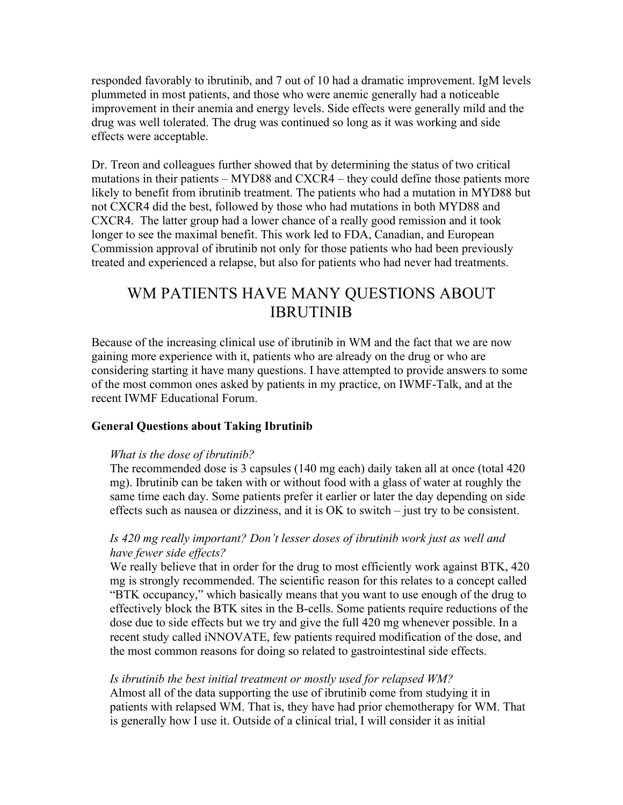responded favorably to ibrutinib, and 7 out of 10 had a dramatic improvement. IgM levels plummeted in most patients, and those who were anemic generally had a noticeable improvement in their anemia and energy levels. Side effects were generally mild and the drug was well tolerated. The drug was continued so long as it was working and side effects were acceptable.

Dr. Treon and colleagues further showed that by determining the status of two critical mutations in their patients – MYD88 and CXCR4 – they could define those patients more likely to benefit from ibrutinib treatment. The patients who had a mutation in MYD88 but not CXCR4 did the best, followed by those who had mutations in both MYD88 and CXCR4. The latter group had a lower chance of a really good remission and it took longer to see the maximal benefit. This work led to FDA, Canadian, and European Commission approval of ibrutinib not only for those patients who had been previously treated and experienced a relapse, but also for patients who had never had treatments.

## WM PATIENTS HAVE MANY QUESTIONS ABOUT IBRUTINIB

Because of the increasing clinical use of ibrutinib in WM and the fact that we are now gaining more experience with it, patients who are already on the drug or who are considering starting it have many questions. I have attempted to provide answers to some of the most common ones asked by patients in my practice, on IWMF-Talk, and at the recent IWMF Educational Forum.

#### **General Questions about Taking Ibrutinib**

#### *What is the dose of ibrutinib?*

The recommended dose is 3 capsules (140 mg each) daily taken all at once (total 420 mg). Ibrutinib can be taken with or without food with a glass of water at roughly the same time each day. Some patients prefer it earlier or later the day depending on side effects such as nausea or dizziness, and it is OK to switch – just try to be consistent.

## *Is 420 mg really important? Don't lesser doses of ibrutinib work just as well and have fewer side effects?*

We really believe that in order for the drug to most efficiently work against BTK, 420 mg is strongly recommended. The scientific reason for this relates to a concept called "BTK occupancy," which basically means that you want to use enough of the drug to effectively block the BTK sites in the B-cells. Some patients require reductions of the dose due to side effects but we try and give the full 420 mg whenever possible. In a recent study called iNNOVATE, few patients required modification of the dose, and the most common reasons for doing so related to gastrointestinal side effects.

#### *Is ibrutinib the best initial treatment or mostly used for relapsed WM?*

Almost all of the data supporting the use of ibrutinib come from studying it in patients with relapsed WM. That is, they have had prior chemotherapy for WM. That is generally how I use it. Outside of a clinical trial, I will consider it as initial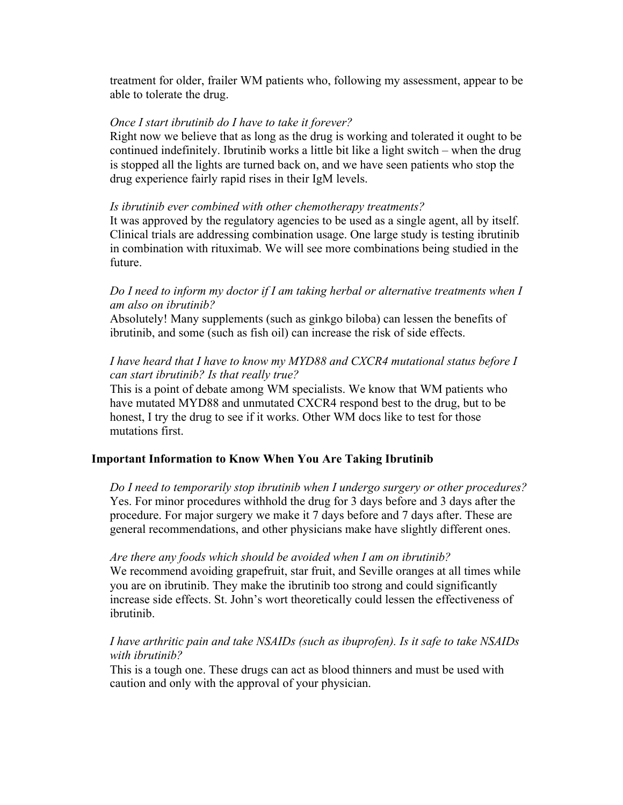treatment for older, frailer WM patients who, following my assessment, appear to be able to tolerate the drug.

#### *Once I start ibrutinib do I have to take it forever?*

Right now we believe that as long as the drug is working and tolerated it ought to be continued indefinitely. Ibrutinib works a little bit like a light switch – when the drug is stopped all the lights are turned back on, and we have seen patients who stop the drug experience fairly rapid rises in their IgM levels.

#### *Is ibrutinib ever combined with other chemotherapy treatments?*

It was approved by the regulatory agencies to be used as a single agent, all by itself. Clinical trials are addressing combination usage. One large study is testing ibrutinib in combination with rituximab. We will see more combinations being studied in the future.

## *Do I need to inform my doctor if I am taking herbal or alternative treatments when I am also on ibrutinib?*

Absolutely! Many supplements (such as ginkgo biloba) can lessen the benefits of ibrutinib, and some (such as fish oil) can increase the risk of side effects.

## *I have heard that I have to know my MYD88 and CXCR4 mutational status before I can start ibrutinib? Is that really true?*

This is a point of debate among WM specialists. We know that WM patients who have mutated MYD88 and unmutated CXCR4 respond best to the drug, but to be honest, I try the drug to see if it works. Other WM docs like to test for those mutations first.

## **Important Information to Know When You Are Taking Ibrutinib**

*Do I need to temporarily stop ibrutinib when I undergo surgery or other procedures?* Yes. For minor procedures withhold the drug for 3 days before and 3 days after the procedure. For major surgery we make it 7 days before and 7 days after. These are general recommendations, and other physicians make have slightly different ones.

*Are there any foods which should be avoided when I am on ibrutinib?* We recommend avoiding grapefruit, star fruit, and Seville oranges at all times while you are on ibrutinib. They make the ibrutinib too strong and could significantly increase side effects. St. John's wort theoretically could lessen the effectiveness of ibrutinib.

## *I have arthritic pain and take NSAIDs (such as ibuprofen). Is it safe to take NSAIDs with ibrutinib?*

This is a tough one. These drugs can act as blood thinners and must be used with caution and only with the approval of your physician.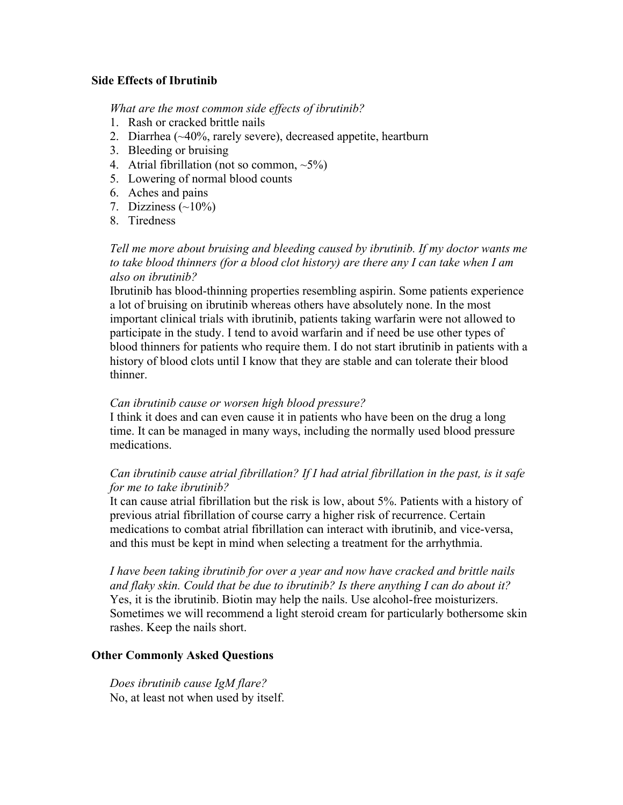## **Side Effects of Ibrutinib**

*What are the most common side effects of ibrutinib?*

- 1. Rash or cracked brittle nails
- 2. Diarrhea (~40%, rarely severe), decreased appetite, heartburn
- 3. Bleeding or bruising
- 4. Atrial fibrillation (not so common,  $\sim$ 5%)
- 5. Lowering of normal blood counts
- 6. Aches and pains
- 7. Dizziness  $(\sim 10\%)$
- 8. Tiredness

## *Tell me more about bruising and bleeding caused by ibrutinib. If my doctor wants me to take blood thinners (for a blood clot history) are there any I can take when I am also on ibrutinib?*

Ibrutinib has blood-thinning properties resembling aspirin. Some patients experience a lot of bruising on ibrutinib whereas others have absolutely none. In the most important clinical trials with ibrutinib, patients taking warfarin were not allowed to participate in the study. I tend to avoid warfarin and if need be use other types of blood thinners for patients who require them. I do not start ibrutinib in patients with a history of blood clots until I know that they are stable and can tolerate their blood thinner.

#### *Can ibrutinib cause or worsen high blood pressure?*

I think it does and can even cause it in patients who have been on the drug a long time. It can be managed in many ways, including the normally used blood pressure medications.

## *Can ibrutinib cause atrial fibrillation? If I had atrial fibrillation in the past, is it safe for me to take ibrutinib?*

It can cause atrial fibrillation but the risk is low, about 5%. Patients with a history of previous atrial fibrillation of course carry a higher risk of recurrence. Certain medications to combat atrial fibrillation can interact with ibrutinib, and vice-versa, and this must be kept in mind when selecting a treatment for the arrhythmia.

*I have been taking ibrutinib for over a year and now have cracked and brittle nails and flaky skin. Could that be due to ibrutinib? Is there anything I can do about it?* Yes, it is the ibrutinib. Biotin may help the nails. Use alcohol-free moisturizers. Sometimes we will recommend a light steroid cream for particularly bothersome skin rashes. Keep the nails short.

#### **Other Commonly Asked Questions**

*Does ibrutinib cause IgM flare?* No, at least not when used by itself.